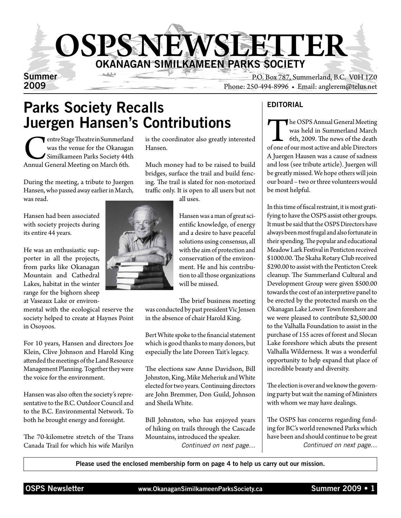

Summer P.O. Box 787, Summerland, B.C. V0H 1Z0 Phone: 250-494-8996 • Email: anglerem@telus.net

## Parks Society Recalls Juergen Hansen's Contributions

entre Stage Theatre in Summerland<br>
was the venue for the Okanagan<br>
Similkameen Parks Society 44th<br>
Annual General Meeting on March 6th. was the venue for the Okanagan Similkameen Parks Society 44th

During the meeting, a tribute to Juergen Hansen, who passed away earlier in March, was read.

Hansen had been associated with society projects during its entire 44 years.

He was an enthusiastic supporter in all the projects, from parks like Okanagan Mountain and Cathedral Lakes, habitat in the winter range for the bighorn sheep at Vaseaux Lake or environ-

mental with the ecological reserve the society helped to create at Haynes Point in Osoyoos.

For 10 years, Hansen and directors Joe Klein, Clive Johnson and Harold King attended the meetings of the Land Resource Management Planning. Together they were the voice for the environment.

Hansen was also often the society's representative to the B.C. Outdoor Council and to the B.C. Environmental Network. To both he brought energy and foresight.

The 70-kilometre stretch of the Trans Canada Trail for which his wife Marilyn

is the coordinator also greatly interested Hansen.

Much money had to be raised to build bridges, surface the trail and build fencing. The trail is slated for non-motorized traffic only. It is open to all users but not

all uses.

Hansen was a man of great scientific knowledge, of energy and a desire to have peaceful solutions using consensus, all with the aim of protection and conservation of the environment. He and his contribution to all those organizations will be missed.

The brief business meeting was conducted by past president Vic Jensen in the absence of chair Harold King.

Bert White spoke to the financial statement which is good thanks to many donors, but especially the late Doreen Tait's legacy.

The elections saw Anne Davidson, Bill Johnston, King, Mike Meheriuk and White elected for two years. Continuing directors are John Bremmer, Don Guild, Johnson and Sheila White.

Bill Johnston, who has enjoyed years of hiking on trails through the Cascade Mountains, introduced the speaker. *Continued on next page…*

#### **EDITORIAL**

The OSPS Annual General Meeting<br>
was held in Summerland March<br>
6th, 2009. The news of the death<br>
of one of our most active and able Directors was held in Summerland March 6th, 2009. The news of the death A Juergen Hausen was a cause of sadness and loss (see tribute article). Juergen will be greatly missed. We hope others will join our board – two or three volunteers would be most helpful.

In this time of fiscal restraint, it is most gratifying to have the OSPS assist other groups. It must be said that the OSPS Directors have always been most frugal and also fortunate in their spending. The popular and educational Meadow Lark Festival in Penticton received \$1000.00. The Skaha Rotary Club received \$290.00 to assist with the Penticton Creek cleanup. The Summerland Cultural and Development Group were given \$500.00 towards the cost of an interpretive panel to be erected by the protected marsh on the Okanagan Lake Lower Town foreshore and we were pleased to contribute \$2,500.00 to the Valhalla Foundation to assist in the purchase of 155 acres of forest and Slocan Lake foreshore which abuts the present Valhalla Wilderness. It was a wonderful opportunity to help expand that place of incredible beauty and diversity.

The election is over and we know the governing party but wait the naming of Ministers with whom we may have dealings.

The OSPS has concerns regarding funding for BC's world renowned Parks which have been and should continue to be great *Continued on next page…*

Please used the enclosed membership form on page 4 to help us carry out our mission.

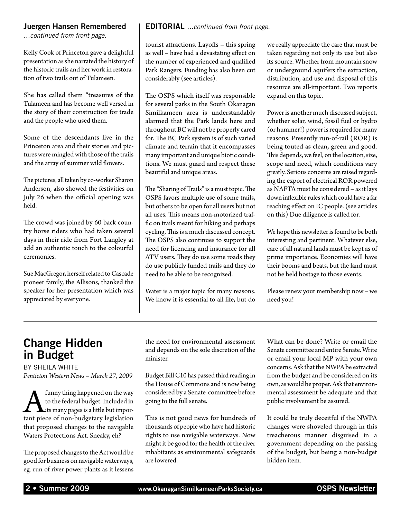#### Juergen Hansen Remembered

*…continued from front page.*

Kelly Cook of Princeton gave a delightful presentation as she narrated the history of the historic trails and her work in restoration of two trails out of Tulameen.

She has called them "treasures of the Tulameen and has become well versed in the story of their construction for trade and the people who used them.

Some of the descendants live in the Princeton area and their stories and pictures were mingled with those of the trails and the array of summer wild flowers.

The pictures, all taken by co-worker Sharon Anderson, also showed the festivities on July 26 when the official opening was held.

The crowd was joined by 60 back country horse riders who had taken several days in their ride from Fort Langley at add an authentic touch to the colourful ceremonies.

Sue MacGregor, herself related to Cascade pioneer family, the Allisons, thanked the speaker for her presentation which was appreciated by everyone.

#### EDITORIAL *…continued from front page.*

tourist attractions. Layoffs – this spring as well – have had a devastating effect on the number of experienced and qualified Park Rangers. Funding has also been cut considerably (see articles).

The OSPS which itself was responsible for several parks in the South Okanagan Similkameen area is understandably alarmed that the Park lands here and throughout BC will not be properly cared for. The BC Park system is of such varied climate and terrain that it encompasses many important and unique biotic conditions. We must guard and respect these beautiful and unique areas.

The "Sharing of Trails" is a must topic. The OSPS favors multiple use of some trails, but others to be open for all users but not all uses. This means non-motorized traffic on trails meant for hiking and perhaps cycling. This is a much discussed concept. The OSPS also continues to support the need for licencing and insurance for all ATV users. They do use some roads they do use publicly funded trails and they do need to be able to be recognized.

Water is a major topic for many reasons. We know it is essential to all life, but do we really appreciate the care that must be taken regarding not only its use but also its source. Whether from mountain snow or underground aquifers the extraction, distribution, and use and disposal of this resource are all-important. Two reports expand on this topic.

Power is another much discussed subject, whether solar, wind, fossil fuel or hydro (or hummer!) power is required for many reasons. Presently run-of-rail (ROR) is being touted as clean, green and good. This depends, we feel, on the location, size, scope and need, which conditions vary greatly. Serious concerns are raised regarding the export of electrical ROR powered as NAFTA must be considered – as it lays down inflexible rules which could have a far reaching effect on IC people. (see articles on this) Due diligence is called for.

We hope this newsletter is found to be both interesting and pertinent. Whatever else, care of all natural lands must be kept as of prime importance. Economies will have their booms and beats, but the land must not be held hostage to those events.

Please renew your membership now – we need you!

#### Change Hidden in Budget

by Sheila White *Penticton Western News – March 27, 2009*

funny thing happened on the way<br>to the federal budget. Included in<br>tis many pages is a little but impor-<br>tant piece of non-budgetary legislation to the federal budget. Included in Lits many pages is a little but importhat proposed changes to the navigable Waters Protections Act. Sneaky, eh?

The proposed changes to the Act would be good for business on navigable waterways, eg. run of river power plants as it lessens the need for environmental assessment and depends on the sole discretion of the minister.

Budget Bill C10 has passed third reading in the House of Commons and is now being considered by a Senate committee before going to the full senate.

This is not good news for hundreds of thousands of people who have had historic rights to use navigable waterways. Now might it be good for the health of the river inhabitants as environmental safeguards are lowered.

What can be done? Write or email the Senate committee and entire Senate. Write or email your local MP with your own concerns. Ask that the NWPA be extracted from the budget and be considered on its own, as would be proper. Ask that environmental assessment be adequate and that public involvement be assured.

It could be truly deceitful if the NWPA changes were shoveled through in this treacherous manner disguised in a government depending on the passing of the budget, but being a non-budget hidden item.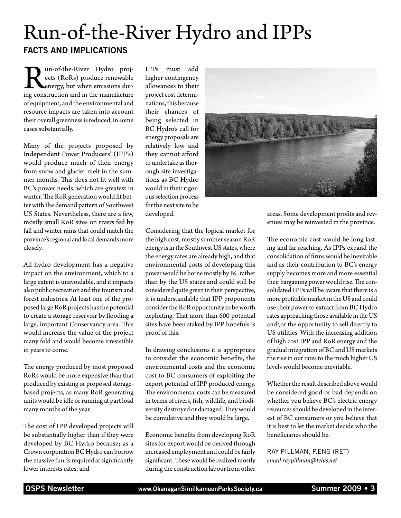## Run-of-the-River Hydro and IPPs Facts and Implications

**Run-of-the-River Hydro proj-**<br>ects (RoRs) produce renewable<br>energy, but when emissions dur-<br>ing construction and in the manufacture ects (RoRs) produce renewable energy, but when emissions during construction and in the manufacture of equipment, and the environmental and resource impacts are taken into account their overall greenness is reduced, in some cases substantially.

Many of the projects proposed by Independent Power Producers' (IPP's) would produce much of their energy from snow and glacier melt in the summer months. This does not fit well with BC's power needs, which are greatest in winter. The RoR generation would fit better with the demand pattern of Southwest US States. Nevertheless, there are a few, mostly small RoR sites on rivers fed by fall and winter rains that could match the province's regional and local demands more closely.

All hydro development has a negative impact on the environment, which to a large extent is unavoidable, and it impacts also public recreation and the tourism and forest industries. At least one of the proposed large RoR projects has the potential to create a storage reservoir by flooding a large, important Conservancy area. This would increase the value of the project many fold and would become irresistible in years to come.

The energy produced by most proposed RoRs would be more expensive than that produced by existing or proposed storagebased projects, as many RoR generating units would be idle or running at part load many months of the year.

The cost of IPP developed projects will be substantially higher than if they were developed by BC Hydro because; as a Crown corporation BC Hydro can borrow the massive funds required at significantly lower interests rates, and

IPPs must add higher contingency allowances to their project cost determinations, this because their chances of being selected in BC Hydro's call for energy proposals are relatively low and they cannot afford to undertake as thorough site investigations as BC Hydro would in their rigorous selection process for the next site to be developed.



Considering that the logical market for the high cost, mostly summer season RoR energy is in the Southwest US states, where the energy rates are already high, and that environmental costs of developing this power would be borne mostly by BC rather than by the US states and could still be considered quite green in their perspective, it is understandable that IPP proponents consider the RoR opportunity to be worth exploiting. That more than 600 potential sites have been staked by IPP hopefuls is proof of this.

In drawing conclusions it is appropriate to consider the economic benefits, the environmental costs and the economic cost to BC consumers of exploiting the export potential of IPP produced energy. The environmental costs can be measured in terms of rivers, fish, wildlife, and biodiversity destroyed or damaged. They would be cumulative and they would be large.

Economic benefits from developing RoR sites for export would be derived through increased employment and could be fairly significant. These would be realized mostly during the construction labour from other

areas. Some development profits and revenues may be reinvested in the province.

The economic cost would be long lasting and far reaching. As IPPs expand the consolidation of firms would be inevitable and as their contribution to BC's energy supply becomes more and more essential their bargaining power would rise. The consolidated IPPs will be aware that there is a more profitable market in the US and could use their power to extract from BC Hydro rates approaching those available in the US and\or the opportunity to sell directly to US utilities. With the increasing addition of high cost IPP and RoR energy and the gradual integration of BC and US markets the rise in our rates to the much higher US levels would become inevitable.

Whether the result described above would be considered good or bad depends on whether you believe BC's electric energy resources should be developed in the interest of BC consumers or you believe that it is best to let the market decide who the beneficiaries should be.

Ray Pillman, P.Eng (Ret) *email raypillman@telus.net*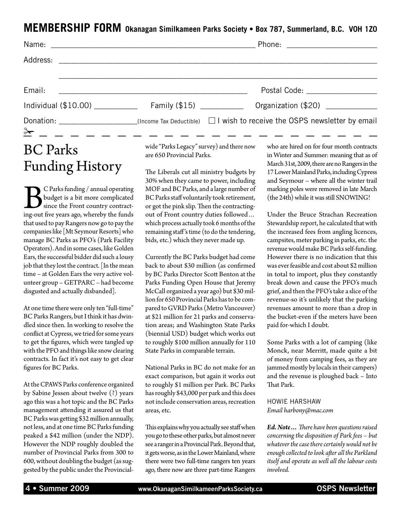#### **MEMBERSHIP FORM Okanagan Similkameen Parks Society • Box 787, Summerland, B.C. V0H 1Z0**

|                         |                                                                                                                       | Phone: _________________________                                                                           |
|-------------------------|-----------------------------------------------------------------------------------------------------------------------|------------------------------------------------------------------------------------------------------------|
|                         |                                                                                                                       |                                                                                                            |
| Email:                  | <u> 1980 - Johann Barn, mars and de British and de British and de British and de British and de British and de Br</u> |                                                                                                            |
|                         | Individual (\$10.00) _______________ Family (\$15) __________                                                         | Organization (\$20)                                                                                        |
|                         | $\frac{3\cdot 1}{2\cdot 1}$ - - - - - - - - - - -                                                                     | Donation: ___________________(Income Tax Deductible) $\Box$ I wish to receive the OSPS newsletter by email |
| $RC$ D <sub>2rlzc</sub> |                                                                                                                       | wide "Parks Legacy" survey) and there now who are hired on for four month contracts                        |

## BC Parks Funding History

C Parks funding / annual operating<br>budget is a bit more complicated<br>since the Front country contract-<br>ing-out five years ago, whereby the funds budget is a bit more complicated since the Front country contracting-out five years ago, whereby the funds that used to pay Rangers now go to pay the companies like [Mt Seymour Resorts] who manage BC Parks as PFO's (Park Facility Operators). And in some cases, like Golden Ears, the successful bidder did such a lousy job that they lost the contract. [In the mean time – at Golden Ears the very active volunteer group – GETPARC – had become disgusted and actually disbanded].

At one time there were only ten "full-time" BC Parks Rangers, but I think it has dwindled since then. In working to resolve the conflict at Cypress, we tried for some years to get the figures, which were tangled up with the PFO and things like snow clearing contracts. In fact it's not easy to get clear figures for BC Parks.

At the CPAWS Parks conference organized by Sabine Jessen about twelve (?) years ago this was a hot topic and the BC Parks management attending it assured us that BC Parks was getting \$32 million annually, not less, and at one time BC Parks funding peaked a \$42 million (under the NDP). However the NDP roughly doubled the number of Provincial Parks from 300 to 600, without doubling the budget (as suggested by the public under the Provincialwide "Parks Legacy" survey) and there now are 650 Provincial Parks.

The Liberals cut all ministry budgets by 30% when they came to power, including MOF and BC Parks, and a large number of BC Parks staff voluntarily took retirement, or got the pink slip. Then the contractingout of Front country duties followed… which process actually took 6 months of the remaining staff 's time (to do the tendering, bids, etc.) which they never made up.

Currently the BC Parks budget had come back to about \$30 million (as confirmed by BC Parks Director Scott Benton at the Parks Funding Open House that Jeremy McCall organized a year ago) but \$30 million for 650 Provincial Parks has to be compared to GVRD Parks (Metro Vancouver) at \$21 million for 21 parks and conservation areas; and Washington State Parks (biennial USD) budget which works out to roughly \$100 million annually for 110 State Parks in comparable terrain.

National Parks in BC do not make for an exact comparison, but again it works out to roughly \$1 million per Park. BC Parks has roughly \$43,000 per park and this does not include conservation areas, recreation areas, etc.

This explains why you actually see staff when you go to these other parks, but almost never see a ranger in a Provincial Park. Beyond that, it gets worse, as in the Lower Mainland, where there were two full-time rangers ten years ago, there now are three part-time Rangers in Winter and Summer: meaning that as of March 31st, 2009, there are no Rangers in the 17 Lower Mainland Parks, including Cypress and Seymour – where all the winter trail marking poles were removed in late March (the 24th) while it was still SNOWING!

Under the Bruce Strachan Recreation Stewardship report, he calculated that with the increased fees from angling licences, campsites, meter parking in parks, etc. the revenue would make BC Parks self-funding. However there is no indication that this was ever feasible and cost about \$2 million in total to import, plus they constantly break down and cause the PFO's much grief, and then the PFO's take a slice of the revenue-so it's unlikely that the parking revenues amount to more than a drop in the bucket-even if the meters have been paid for-which I doubt.

Some Parks with a lot of camping (like Monck, near Merritt, made quite a bit of money from camping fees, as they are jammed mostly by locals in their campers) and the revenue is ploughed back – Into That Park.

Howie Harshaw *Email harbony@mac.com*

*Ed. Note… There have been questions raised concerning the disposition of Park fees – but whatever the case there certainly would not be enough collected to look after all the Parkland itself and operate as well all the labour costs involved.*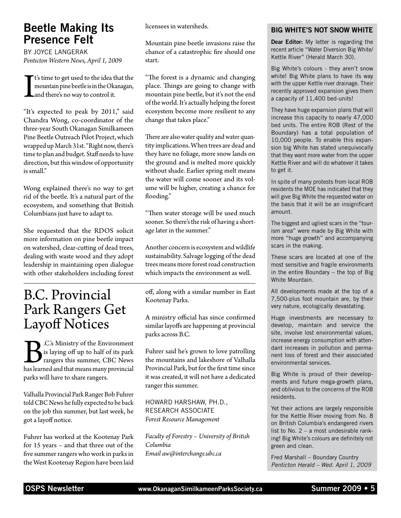### Beetle Making Its Presence Felt

by Joyce Langerak *Penticton Western News, April 1, 2009*

I t's time to get used to the idea that the mountain pine beetle is in the Okanagan, and there's no way to control it.

"It's expected to peak by 2011," said Chandra Wong, co-coordinator of the three-year South Okanagan Similkameen Pine Beetle Outreach Pilot Project, which wrapped up March 31st. "Right now, there's time to plan and budget. Staff needs to have direction, but this window of opportunity is small."

Wong explained there's no way to get rid of the beetle. It's a natural part of the ecosystem, and something that British Columbians just have to adapt to.

She requested that the RDOS solicit more information on pine beetle impact on watershed, clear-cutting of dead trees, dealing with waste wood and they adopt leadership in maintaining open dialogue with other stakeholders including forest

## B.C. Provincial Park Rangers Get Layoff Notices

B.C.'s Ministry of the Environment is laying off up to half of its park rangers this summer, CBC News has learned and that means many provincial parks will have to share rangers.

Valhalla Provincial Park Ranger Bob Fuhrer told CBC News he fully expected to be back on the job this summer, but last week, he got a layoff notice.

Fuhrer has worked at the Kootenay Park for 15 years – and that three out of the five summer rangers who work in parks in the West Kootenay Region have been laid licensees in watersheds.

Mountain pine beetle invasions raise the chance of a catastrophic fire should one start.

"The forest is a dynamic and changing place. Things are going to change with mountain pine beetle, but it's not the end of the world. It's actually helping the forest ecosystem become more resilient to any change that takes place."

There are also water quality and water quantity implications. When trees are dead and they have no foliage, more snow lands on the ground and is melted more quickly without shade. Earlier spring melt means the water will come sooner and its volume will be higher, creating a chance for flooding."

"Then water storage will be used much sooner. So there's the risk of having a shortage later in the summer."

Another concern is ecosystem and wildlife sustainability. Salvage logging of the dead trees means more forest road construction which impacts the environment as well.

off, along with a similar number in East Kootenay Parks.

A ministry official has since confirmed similar layoffs are happening at provincial parks across B.C.

Fuhrer said he's grown to love patrolling the mountains and lakeshore of Valhalla Provincial Park, but for the first time since it was created, it will not have a dedicated ranger this summer.

Howard Harshaw, Ph.D., Research Associate *Forest Resource Management*

*Faculty of Forestry – University of British Columbia Email aw@interchange.ubc.ca*

#### Big White's Not Snow White

Dear Editor: My letter is regarding the recent article "Water Diversion Big White/ Kettle River" (Herald March 30).

Big White's colours - they aren't snow white! Big White plans to have its way with the upper Kettle river drainage. Their recently approved expansion gives them a capacity of 11,400 bed-units!

They have huge expansion plans that will increase this capacity to nearly 47,000 bed units. The entire ROB (Rest of the Boundary) has a total population of 10,000 people. To enable this expansion big White has stated unequivocally that they want more water from the upper Kettle River and will do whatever it takes to get it.

In spite of many protests from local ROB residents the MOE has indicated that they will give Big White the requested water on the basis that it will be an insignificant amount.

The biggest and ugliest scars in the "tourism area" were made by Big White with more "huge growth" and accompanying scars in the making.

These scars are located at one of the most sensitive and fragile environments in the entire Boundary – the top of Big White Mountain.

All developments made at the top of a 7,500-plus foot mountain are, by their very nature, ecologically devastating.

Huge investments are necessary to develop, maintain and service the site, involve lost environmental values, increase energy consumption with attendant increases in pollution and permanent loss of forest and their associated environmental services.

Big White is proud of their developments and future mega-growth plans, and oblivious to the concerns of the ROB residents.

Yet their actions are largely responsible for the Kettle River moving from No. 8 on British Columbia's endangered rivers list to No. 2 – a most undesirable ranking! Big White's colours are definitely not green and clean.

Fred Marshall – Boundary Country *Penticton Herald – Wed. April 1, 2009*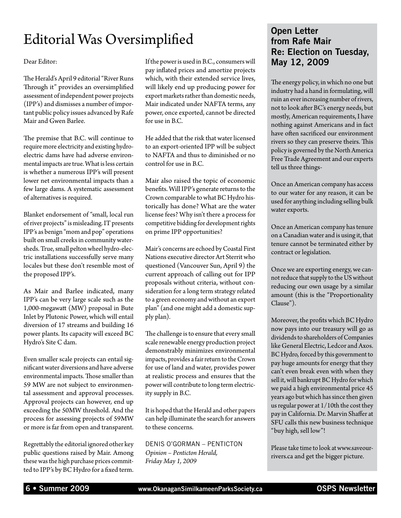## Editorial Was Oversimplified

Dear Editor:

The Herald's April 9 editorial "River Runs Through it" provides an oversimplified assessment of independent power projects (IPP's) and dismisses a number of important public policy issues advanced by Rafe Mair and Gwen Barlee.

The premise that B.C. will continue to require more electricity and existing hydroelectric dams have had adverse environmental impacts are true. What is less certain is whether a numerous IPP's will present lower net environmental impacts than a few large dams. A systematic assessment of alternatives is required.

Blanket endorsement of "small, local run of river projects" is misleading. IT presents IPP's as benign "mom and pop" operations built on small creeks in community watersheds. True, small pelton wheel hydro-electric installations successfully serve many locales but these don't resemble most of the proposed IPP's.

As Mair and Barlee indicated, many IPP's can be very large scale such as the 1,000-megawatt (MW) proposal in Bute Inlet by Plutonic Power, which will entail diversion of 17 streams and building 16 power plants. Its capacity will exceed BC Hydro's Site C dam.

Even smaller scale projects can entail significant water diversions and have adverse environmental impacts. Those smaller than 59 MW are not subject to environmental assessment and approval processes. Approval projects can however, end up exceeding the 50MW threshold. And the process for assessing projects of 59MW or more is far from open and transparent.

Regrettably the editorial ignored other key public questions raised by Mair. Among these was the high purchase prices committed to IPP's by BC Hydro for a fixed term.

If the power is used in B.C., consumers will pay inflated prices and amortize projects which, with their extended service lives, will likely end up producing power for export markets rather than domestic needs, Mair indicated under NAFTA terms, any power, once exported, cannot be directed for use in B.C.

He added that the risk that water licensed to an export-oriented IPP will be subject to NAFTA and thus to diminished or no control for use in B.C.

Mair also raised the topic of economic benefits. Will IPP's generate returns to the Crown comparable to what BC Hydro historically has done? What are the water license fees? Why isn't there a process for competitive bidding for development rights on prime IPP opportunities?

Mair's concerns are echoed by Coastal First Nations executive director Art Sterrit who questioned (Vancouver Sun, April 9) the current approach of calling out for IPP proposals without criteria, without consideration for a long term strategy related to a green economy and without an export plan" (and one might add a domestic supply plan).

The challenge is to ensure that every small scale renewable energy production project demonstrably minimizes environmental impacts, provides a fair return to the Crown for use of land and water, provides power at realistic process and ensures that the power will contribute to long term electricity supply in B.C.

It is hoped that the Herald and other papers can help illuminate the search for answers to these concerns.

Denis O'Gorman – Penticton *Opinion – Penticton Herald, Friday May 1, 2009*

#### Open Letter from Rafe Mair Re: Election on Tuesday, May 12, 2009

The energy policy, in which no one but industry had a hand in formulating, will ruin an ever increasing number of rivers, not to look after BC's energy needs, but mostly, American requirements, I have nothing against Americans and in fact have often sacrificed our environment rivers so they can preserve theirs. This policy is governed by the North America Free Trade Agreement and our experts tell us three things-

Once an American company has access to our water for any reason, it can be used for anything including selling bulk water exports.

Once an American company has tenure on a Canadian water and is using it, that tenure cannot be terminated either by contract or legislation.

Once we are exporting energy, we cannot reduce that supply to the US without reducing our own usage by a similar amount (this is the "Proportionality Clause").

Moreover, the profits which BC Hydro now pays into our treasury will go as dividends to shareholders of Companies like General Electric, Ledcor and Axos. BC Hydro, forced by this government to pay huge amounts for energy that they can't even break even with when they sell it, will bankrupt BC Hydro for which we paid a high environmental price 45 years ago but which has since then given us regular power at 1/10th the cost they pay in California. Dr. Marvin Shaffer at SFU calls this new business technique "buy high, sell low"!

Please take time to look at www.saveourrivers.ca and get the bigger picture.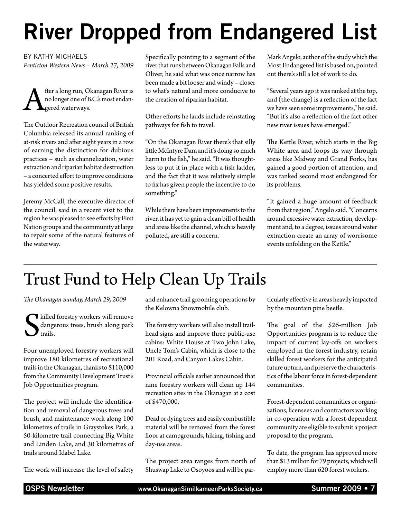# River Dropped from Endangered List

#### by Kathy Michaels

*Penticton Western News – March 27, 2009*

fter a long run, Okanagan River is<br>no longer one of B.C.'s most endan-<br>gered waterways. no longer one of B.C.'s most endan-**L**gered waterways.

The Outdoor Recreation council of British Columbia released its annual ranking of at-risk rivers and after eight years in a row of earning the distinction for dubious practices – such as channelization, water extraction and riparian habitat destruction – a concerted effort to improve conditions has yielded some positive results.

Jeremy McCall, the executive director of the council, said in a recent visit to the region he was pleased to see efforts by First Nation groups and the community at large to repair some of the natural features of the waterway.

Specifically pointing to a segment of the river that runs between Okanagan Falls and Oliver, he said what was once narrow has been made a bit looser and windy – closer to what's natural and more conducive to the creation of riparian habitat.

Other efforts he lauds include reinstating pathways for fish to travel.

"On the Okanagan River there's that silly little McIntyre Dam and it's doing so much harm to the fish," he said. "It was thoughtless to put it in place with a fish ladder, and the fact that it was relatively simple to fix has given people the incentive to do something."

While there have been improvements to the river, it has yet to gain a clean bill of health and areas like the channel, which is heavily polluted, are still a concern.

Mark Angelo, author of the study which the Most Endangered list is based on, pointed out there's still a lot of work to do.

"Several years ago it was ranked at the top, and (the change) is a reflection of the fact we have seen some improvements," he said. "But it's also a reflection of the fact other new river issues have emerged."

The Kettle River, which starts in the Big White area and loops its way through areas like Midway and Grand Forks, has gained a good portion of attention, and was ranked second most endangered for its problems.

"It gained a huge amount of feedback from that region," Angelo said. "Concerns around excessive water extraction, development and, to a degree, issues around water extraction create an array of worrisome events unfolding on the Kettle."

## Trust Fund to Help Clean Up Trails

*The Okanagan Sunday, March 29, 2009*

S killed forestry workers will remove dangerous trees, brush along park trails.

Four unemployed forestry workers will improve 180 kilometres of recreational trails in the Okanagan, thanks to \$110,000 from the Community Development Trust's Job Opportunities program.

The project will include the identification and removal of dangerous trees and brush, and maintenance work along 100 kilometres of trails in Graystokes Park, a 50-kilometre trail connecting Big White and Linden Lake, and 30 kilometres of trails around Idabel Lake.

The work will increase the level of safety

and enhance trail grooming operations by the Kelowna Snowmobile club.

The forestry workers will also install trailhead signs and improve three public-use cabins: White House at Two John Lake, Uncle Tom's Cabin, which is close to the 201 Road, and Canyon Lakes Cabin.

Provincial officials earlier announced that nine forestry workers will clean up 144 recreation sites in the Okanagan at a cost of \$470,000.

Dead or dying trees and easily combustible material will be removed from the forest floor at campgrounds, hiking, fishing and day-use areas.

The project area ranges from north of Shuswap Lake to Osoyoos and will be particularly effective in areas heavily impacted by the mountain pine beetle.

The goal of the \$26-million Job Opportunities program is to reduce the impact of current lay-offs on workers employed in the forest industry, retain skilled forest workers for the anticipated future upturn, and preserve the characteristics of the labour force in forest-dependent communities.

Forest-dependent communities or organizations, licensees and contractors working in co-operation with a forest-dependent community are eligible to submit a project proposal to the program.

To date, the program has approved more than \$13 million for 79 projects, which will employ more than 620 forest workers.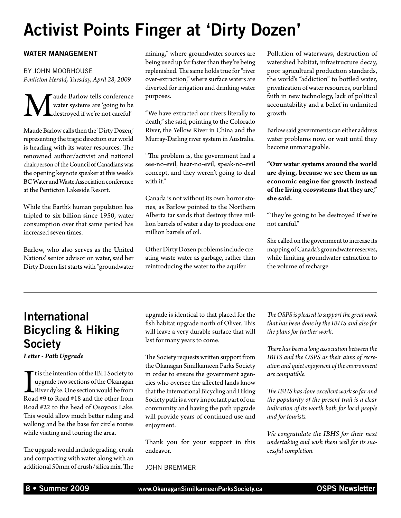## Activist Points Finger at 'Dirty Dozen'

#### WATER MANAGEMENT

by John Moorhouse *Penticton Herald, Tuesday, April 28, 2009*

Maude Barlow tells conference<br>water systems are 'going to be<br>destroyed if we're not careful' water systems are 'going to be destroyed if we're not careful'

Maude Barlow calls then the 'Dirty Dozen,' representing the tragic direction our world is heading with its water resources. The renowned author/activist and national chairperson of the Council of Canadians was the opening keynote speaker at this week's BC Water and Waste Association conference at the Penticton Lakeside Resort.

While the Earth's human population has tripled to six billion since 1950, water consumption over that same period has increased seven times.

Barlow, who also serves as the United Nations' senior advisor on water, said her Dirty Dozen list starts with "groundwater mining," where groundwater sources are being used up far faster than they're being replenished. The same holds true for "river over-extraction," where surface waters are diverted for irrigation and drinking water purposes.

"We have extracted our rivers literally to death," she said, pointing to the Colorado River, the Yellow River in China and the Murray-Darling river system in Australia.

"The problem is, the government had a see-no-evil, hear-no-evil, speak-no-evil concept, and they weren't going to deal with it."

Canada is not without its own horror stories, as Barlow pointed to the Northern Alberta tar sands that destroy three million barrels of water a day to produce one million barrels of oil.

Other Dirty Dozen problems include creating waste water as garbage, rather than reintroducing the water to the aquifer.

Pollution of waterways, destruction of watershed habitat, infrastructure decay, poor agricultural production standards, the world's "addiction" to bottled water, privatization of water resources, our blind faith in new technology, lack of political accountability and a belief in unlimited growth.

Barlow said governments can either address water problems now, or wait until they become unmanageable.

**"Our water systems around the world are dying, because we see them as an economic engine for growth instead of the living ecosystems that they are," she said.**

"They're going to be destroyed if we're not careful."

She called on the government to increase its mapping of Canada's groundwater reserves, while limiting groundwater extraction to the volume of recharge.

## International Bicycling & Hiking **Society**

*Letter - Path Upgrade*

It is the intention of the IBH Society to<br>upgrade two sections of the Okanagan<br>River dyke. One section would be from<br>Road #9 to Road #18 and the other from t is the intention of the IBH Society to upgrade two sections of the Okanagan River dyke. One section would be from Road #22 to the head of Osoyoos Lake. This would allow much better riding and walking and be the base for circle routes while visiting and touring the area.

The upgrade would include grading, crush and compacting with water along with an additional 50mm of crush/silica mix. The

upgrade is identical to that placed for the fish habitat upgrade north of Oliver. This will leave a very durable surface that will last for many years to come.

The Society requests written support from the Okanagan Similkameen Parks Society in order to ensure the government agencies who oversee the affected lands know that the International Bicycling and Hiking Society path is a very important part of our community and having the path upgrade will provide years of continued use and enjoyment.

Thank you for your support in this endeavor.

John Bremmer

*The OSPS is pleased to support the great work that has been done by the IBHS and also for the plans for further work.*

*There has been a long association between the IBHS and the OSPS as their aims of recreation and quiet enjoyment of the environment are compatible.*

*The IBHS has done excellent work so far and the popularity of the present trail is a clear indication of its worth both for local people and for tourists.*

*We congratulate the IBHS for their next undertaking and wish them well for its successful completion.*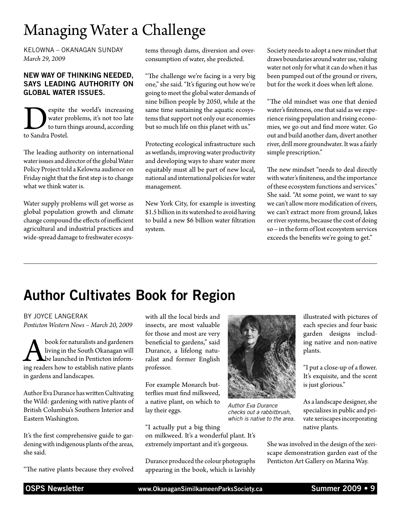## Managing Water a Challenge

Kelowna – Okanagan Sunday *March 29, 2009*

#### New way of thinking needed, says leading authority on global water issues.

Solution and the world's increasing<br>to turn things around, according<br>to Sandra Postel. water problems, it's not too late to turn things around, according to Sandra Postel.

The leading authority on international water issues and director of the global Water Policy Project told a Kelowna audience on Friday night that the first step is to change what we think water is.

Water supply problems will get worse as global population growth and climate change compound the effects of inefficient agricultural and industrial practices and wide-spread damage to freshwater ecosystems through dams, diversion and overconsumption of water, she predicted.

"The challenge we're facing is a very big one," she said. "It's figuring out how we're going to meet the global water demands of nine billion people by 2050, while at the same time sustaining the aquatic ecosystems that support not only our economies but so much life on this planet with us."

Protecting ecological infrastructure such as wetlands, improving water productivity and developing ways to share water more equitably must all be part of new local, national and international policies for water management.

New York City, for example is investing \$1.5 billion in its watershed to avoid having to build a new \$6 billion water filtration system.

Society needs to adopt a new mindset that draws boundaries around water use, valuing water not only for what it can do when it has been pumped out of the ground or rivers, but for the work it does when left alone.

"The old mindset was one that denied water's finiteness, one that said as we experience rising population and rising economies, we go out and find more water. Go out and build another dam, divert another river, drill more groundwater. It was a fairly simple prescription."

The new mindset "needs to deal directly with water's finiteness, and the importance of these ecosystem functions and services." She said. "At some point, we want to say we can't allow more modification of rivers, we can't extract more from ground, lakes or river systems, because the cost of doing so – in the form of lost ecosystem services exceeds the benefits we're going to get."

## Author Cultivates Book for Region

by Joyce Langerak *Penticton Western News – March 20, 2009*

**A book for naturalists and gardeners**<br>living in the South Okanagan will<br>be launched in Penticton inform-<br>ing readers how to establish native plants living in the South Okanagan will be launched in Penticton informin gardens and landscapes.

Author Eva Durance has written Cultivating the Wild: gardening with native plants of British Columbia's Southern Interior and Eastern Washington.

It's the first comprehensive guide to gardening with indigenous plants of the areas, she said.

"The native plants because they evolved

with all the local birds and insects, are most valuable for those and most are very beneficial to gardens," said Durance, a lifelong naturalist and former English professor.

For example Monarch butterflies must find milkweed, a native plant, on which to lay their eggs.

"I actually put a big thing on milkweed. It's a wonderful plant. It's extremely important and it's gorgeous.

Durance produced the colour photographs appearing in the book, which is lavishly



*Author Eva Durance checks out a rabbitbrush, which is native to the area.*

illustrated with pictures of each species and four basic garden designs including native and non-native plants.

"I put a close-up of a flower. It's exquisite, and the scent is just glorious."

As a landscape designer, she specializes in public and private xeriscapes incorporating native plants.

She was involved in the design of the xeriscape demonstration garden east of the Penticton Art Gallery on Marina Way.